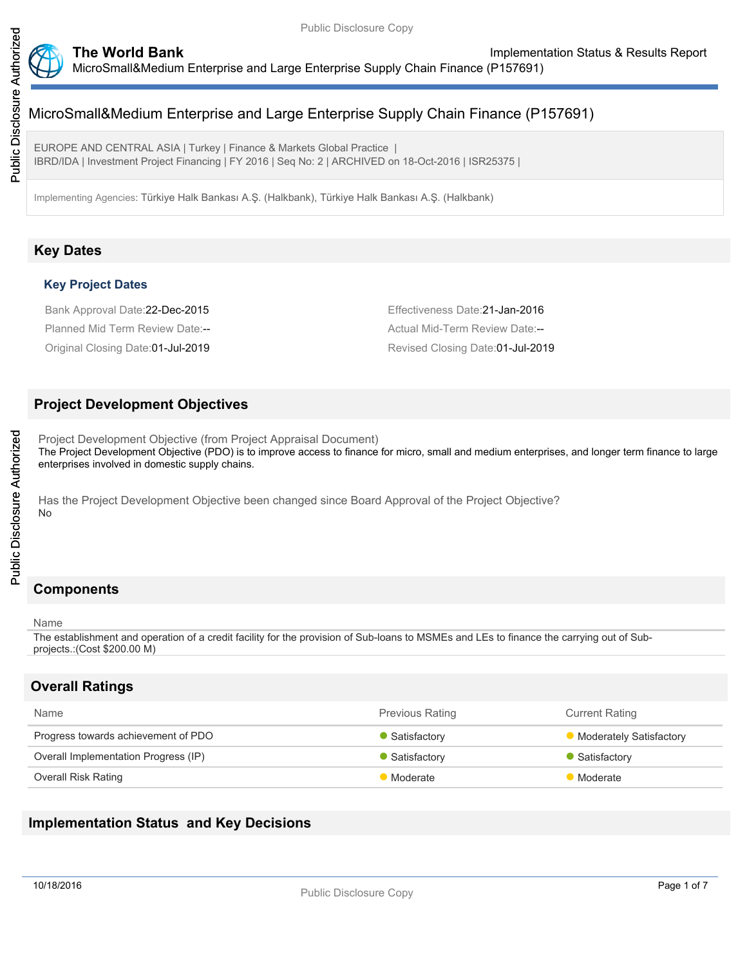

EUROPE AND CENTRAL ASIA | Turkey | Finance & Markets Global Practice | IBRD/IDA | Investment Project Financing | FY 2016 | Seq No: 2 | ARCHIVED on 18-Oct-2016 | ISR25375 |

Implementing Agencies: Türkiye Halk Bankası A.Ş. (Halkbank), Türkiye Halk Bankası A.Ş. (Halkbank)

# **Key Dates**

#### **Key Project Dates**

Bank Approval Date:22-Dec-2015 Effectiveness Date:21-Jan-2016 Planned Mid Term Review Date:-- Actual Mid-Term Review Date:--

Original Closing Date:01-Jul-2019 Revised Closing Date:01-Jul-2019

## **Project Development Objectives**

Project Development Objective (from Project Appraisal Document) The Project Development Objective (PDO) is to improve access to finance for micro, small and medium enterprises, and longer term finance to large enterprises involved in domestic supply chains.

Has the Project Development Objective been changed since Board Approval of the Project Objective? No

# **Components**

#### Name

The establishment and operation of a credit facility for the provision of Sub-loans to MSMEs and LEs to finance the carrying out of Subprojects.:(Cost \$200.00 M)

## **Overall Ratings**

| <b>Name</b>                          | <b>Previous Rating</b><br><b>Current Rating</b> |                                |
|--------------------------------------|-------------------------------------------------|--------------------------------|
| Progress towards achievement of PDO  | Satisfactory                                    | <b>Moderately Satisfactory</b> |
| Overall Implementation Progress (IP) | Satisfactory                                    | Satisfactory                   |
| Overall Risk Rating                  | <b>Moderate</b>                                 | <b>Moderate</b>                |

# **Implementation Status and Key Decisions**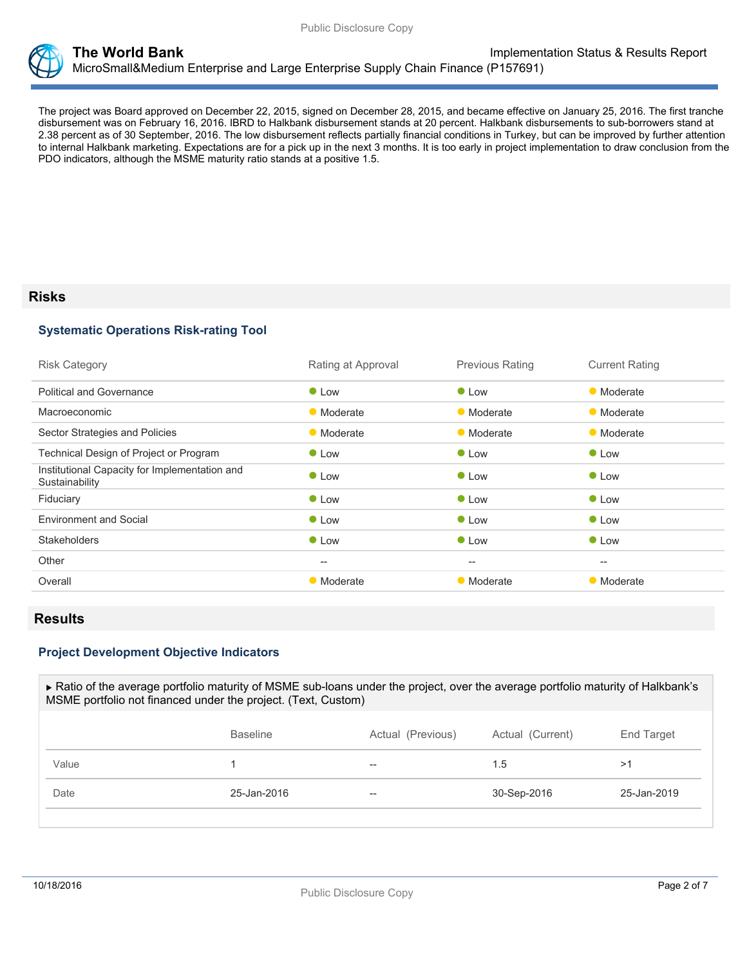

The project was Board approved on December 22, 2015, signed on December 28, 2015, and became effective on January 25, 2016. The first tranche disbursement was on February 16, 2016. IBRD to Halkbank disbursement stands at 20 percent. Halkbank disbursements to sub-borrowers stand at 2.38 percent as of 30 September, 2016. The low disbursement reflects partially financial conditions in Turkey, but can be improved by further attention to internal Halkbank marketing. Expectations are for a pick up in the next 3 months. It is too early in project implementation to draw conclusion from the PDO indicators, although the MSME maturity ratio stands at a positive 1.5.

### **Risks**

#### **Systematic Operations Risk-rating Tool**

| <b>Risk Category</b>                                            | Rating at Approval                                  | <b>Previous Rating</b> | <b>Current Rating</b> |
|-----------------------------------------------------------------|-----------------------------------------------------|------------------------|-----------------------|
| <b>Political and Governance</b>                                 | $\bullet$ Low                                       | $\bullet$ Low          | • Moderate            |
| <b>Macroeconomic</b>                                            | • Moderate                                          | • Moderate             | • Moderate            |
| Sector Strategies and Policies                                  | • Moderate                                          | • Moderate             | • Moderate            |
| Technical Design of Project or Program                          | $\bullet$ Low                                       | $\bullet$ Low          | $\bullet$ Low         |
| Institutional Capacity for Implementation and<br>Sustainability | $\bullet$ Low                                       | $\bullet$ Low          | <b>C</b> Low          |
| Fiduciary                                                       | • Low                                               | $\bullet$ Low          | • Low                 |
| <b>Environment and Social</b>                                   | $\bullet$ Low                                       | $\bullet$ Low          | $\bullet$ Low         |
| <b>Stakeholders</b>                                             | $\bullet$ Low                                       | $\bullet$ Low          | $\bullet$ Low         |
| Other                                                           | $\hspace{0.05cm} -\hspace{0.05cm} -\hspace{0.05cm}$ | $\qquad \qquad -$      | $\hspace{0.05cm}$     |
| Overall                                                         | • Moderate                                          | • Moderate             | • Moderate            |

## **Results**

#### **Project Development Objective Indicators**

 Ratio of the average portfolio maturity of MSME sub-loans under the project, over the average portfolio maturity of Halkbank's MSME portfolio not financed under the project. (Text, Custom) Baseline **Actual (Previous)** Actual (Current) End Target Value 2012 - 2012 - 2022 - 2022 - 2022 - 2022 - 2022 - 2022 - 2022 - 2022 - 2022 - 2022 - 2022 - 2022 - 2022 - 20

Date 25-Jan-2016 -- 30-Sep-2016 25-Jan-2019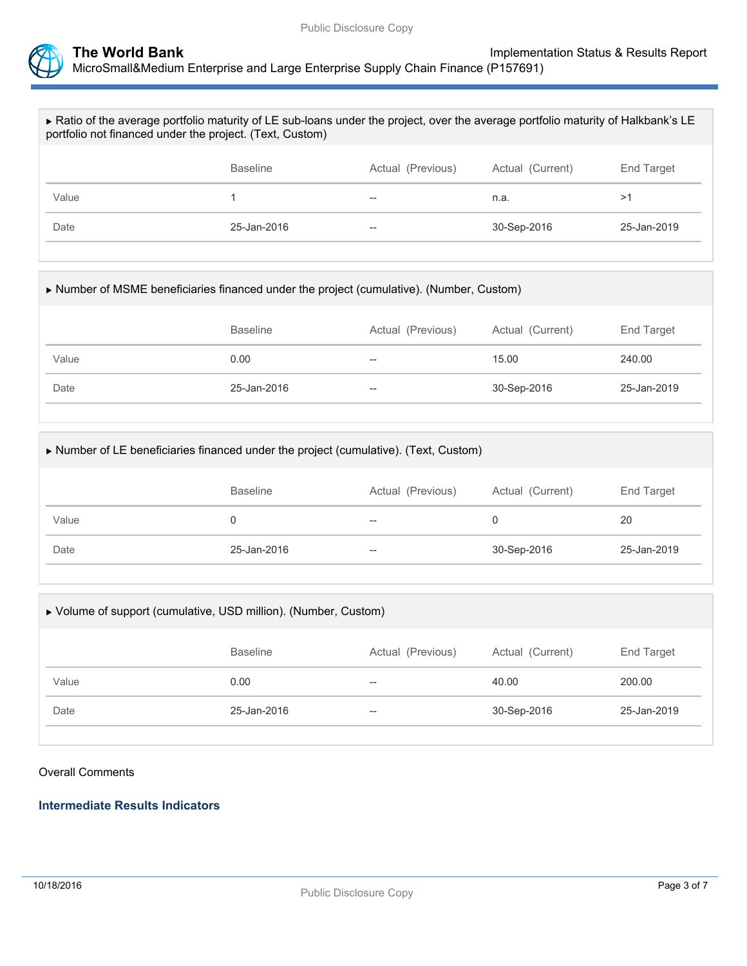

| Ratio of the average portfolio maturity of LE sub-loans under the project, over the average portfolio maturity of Halkbank's LE<br>portfolio not financed under the project. (Text, Custom) |                 |                   |                  |             |  |
|---------------------------------------------------------------------------------------------------------------------------------------------------------------------------------------------|-----------------|-------------------|------------------|-------------|--|
|                                                                                                                                                                                             | <b>Baseline</b> | Actual (Previous) | Actual (Current) | End Target  |  |
| Value                                                                                                                                                                                       |                 |                   | n.a.             | >1          |  |
| Date                                                                                                                                                                                        | 25-Jan-2016     |                   | 30-Sep-2016      | 25-Jan-2019 |  |
|                                                                                                                                                                                             |                 |                   |                  |             |  |

| Number of MSME beneficiaries financed under the project (cumulative). (Number, Custom) |                 |                   |                  |             |  |
|----------------------------------------------------------------------------------------|-----------------|-------------------|------------------|-------------|--|
|                                                                                        | <b>Baseline</b> | Actual (Previous) | Actual (Current) | End Target  |  |
| Value                                                                                  | 0.00            | $- -$             | 15.00            | 240.00      |  |
| Date                                                                                   | 25-Jan-2016     | $- -$             | 30-Sep-2016      | 25-Jan-2019 |  |
|                                                                                        |                 |                   |                  |             |  |

| Number of LE beneficiaries financed under the project (cumulative). (Text, Custom) |                 |                   |                  |             |  |
|------------------------------------------------------------------------------------|-----------------|-------------------|------------------|-------------|--|
|                                                                                    | <b>Baseline</b> | Actual (Previous) | Actual (Current) | End Target  |  |
| Value                                                                              |                 | $- -$             | 0                | 20          |  |
| Date                                                                               | 25-Jan-2016     | $- -$             | 30-Sep-2016      | 25-Jan-2019 |  |
|                                                                                    |                 |                   |                  |             |  |

| ▶ Volume of support (cumulative, USD million). (Number, Custom) |                 |                   |                  |             |  |
|-----------------------------------------------------------------|-----------------|-------------------|------------------|-------------|--|
|                                                                 | <b>Baseline</b> | Actual (Previous) | Actual (Current) | End Target  |  |
| Value                                                           | 0.00            | $- -$             | 40.00            | 200.00      |  |
| Date                                                            | 25-Jan-2016     | $- -$             | 30-Sep-2016      | 25-Jan-2019 |  |

Overall Comments

## **Intermediate Results Indicators**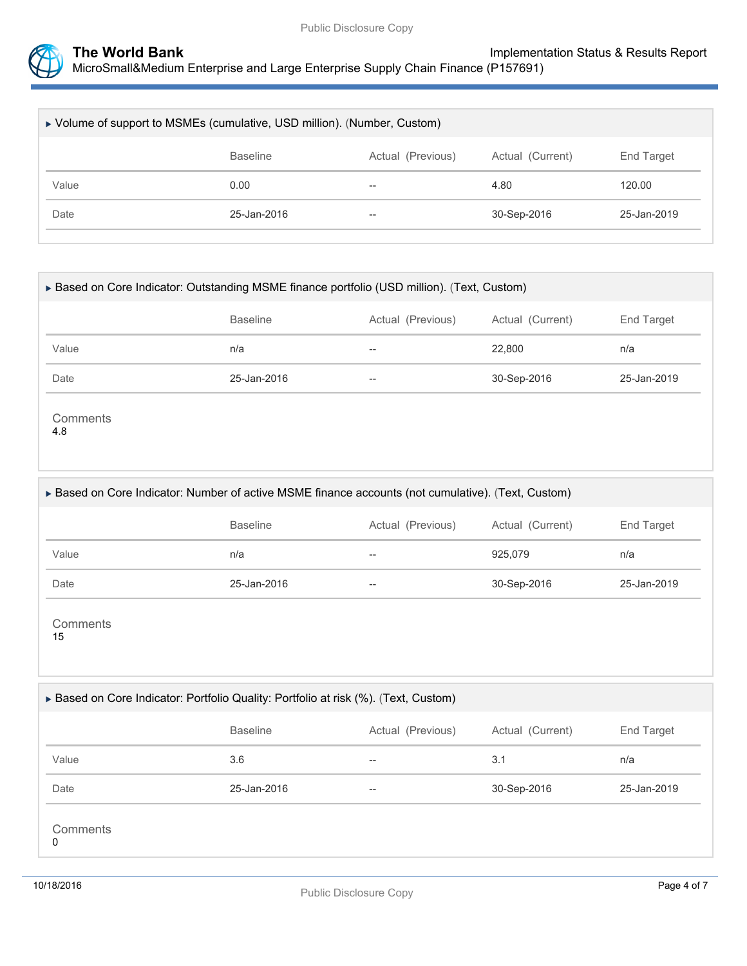

| ► Volume of support to MSMEs (cumulative, USD million). (Number, Custom) |                 |                          |                  |             |  |
|--------------------------------------------------------------------------|-----------------|--------------------------|------------------|-------------|--|
|                                                                          | <b>Baseline</b> | Actual (Previous)        | Actual (Current) | End Target  |  |
| Value                                                                    | 0.00            | $- -$                    | 4.80             | 120.00      |  |
| Date                                                                     | 25-Jan-2016     | $\overline{\phantom{m}}$ | 30-Sep-2016      | 25-Jan-2019 |  |

| ▶ Based on Core Indicator: Outstanding MSME finance portfolio (USD million). (Text, Custom) |                 |                   |                  |             |  |
|---------------------------------------------------------------------------------------------|-----------------|-------------------|------------------|-------------|--|
|                                                                                             | <b>Baseline</b> | Actual (Previous) | Actual (Current) | End Target  |  |
| Value                                                                                       | n/a             | --                | 22,800           | n/a         |  |
| Date                                                                                        | 25-Jan-2016     | $- -$             | 30-Sep-2016      | 25-Jan-2019 |  |
| Comments<br>4.8                                                                             |                 |                   |                  |             |  |

#### Based on Core Indicator: Number of active MSME finance accounts (not cumulative). (Text, Custom)

|       | <b>Baseline</b> | Actual (Previous)        | Actual (Current) | End Target  |
|-------|-----------------|--------------------------|------------------|-------------|
| Value | n/a             | $- -$                    | 925,079          | n/a         |
| Date  | 25-Jan-2016     | $\overline{\phantom{m}}$ | 30-Sep-2016      | 25-Jan-2019 |

**Comments** 15

#### ▶ Based on Core Indicator: Portfolio Quality: Portfolio at risk (%). (Text, Custom)

|               | <b>Baseline</b> | Actual (Previous) | Actual (Current) | End Target  |
|---------------|-----------------|-------------------|------------------|-------------|
| Value         | 3.6             | $- -$             | 3.1              | n/a         |
| Date          | 25-Jan-2016     | $\hspace{0.05cm}$ | 30-Sep-2016      | 25-Jan-2019 |
| Comments<br>0 |                 |                   |                  |             |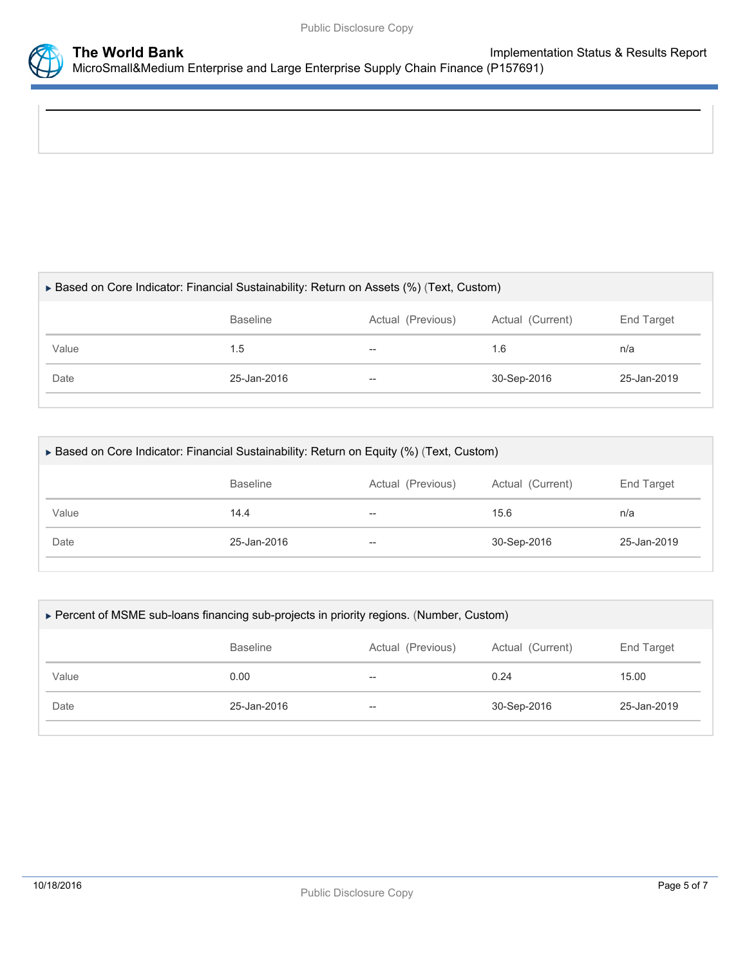

| ► Based on Core Indicator: Financial Sustainability: Return on Assets (%) (Text, Custom) |                          |                  |             |  |  |
|------------------------------------------------------------------------------------------|--------------------------|------------------|-------------|--|--|
| <b>Baseline</b>                                                                          | Actual (Previous)        | Actual (Current) | End Target  |  |  |
| 1.5                                                                                      | $\overline{\phantom{m}}$ | 1.6              | n/a         |  |  |
| 25-Jan-2016                                                                              | $\overline{\phantom{m}}$ | 30-Sep-2016      | 25-Jan-2019 |  |  |
|                                                                                          |                          |                  |             |  |  |

| ► Based on Core Indicator: Financial Sustainability: Return on Equity (%) (Text, Custom) |                 |                   |                  |             |
|------------------------------------------------------------------------------------------|-----------------|-------------------|------------------|-------------|
|                                                                                          | <b>Baseline</b> | Actual (Previous) | Actual (Current) | End Target  |
| Value                                                                                    | 14.4            | $- -$             | 15.6             | n/a         |
| Date                                                                                     | 25-Jan-2016     | $- -$             | 30-Sep-2016      | 25-Jan-2019 |

| ► Percent of MSME sub-loans financing sub-projects in priority regions. (Number, Custom) |                 |                   |                  |             |  |  |
|------------------------------------------------------------------------------------------|-----------------|-------------------|------------------|-------------|--|--|
|                                                                                          | <b>Baseline</b> | Actual (Previous) | Actual (Current) | End Target  |  |  |
| Value                                                                                    | 0.00            | $- -$             | 0.24             | 15.00       |  |  |
| Date                                                                                     | 25-Jan-2016     | $- -$             | 30-Sep-2016      | 25-Jan-2019 |  |  |
|                                                                                          |                 |                   |                  |             |  |  |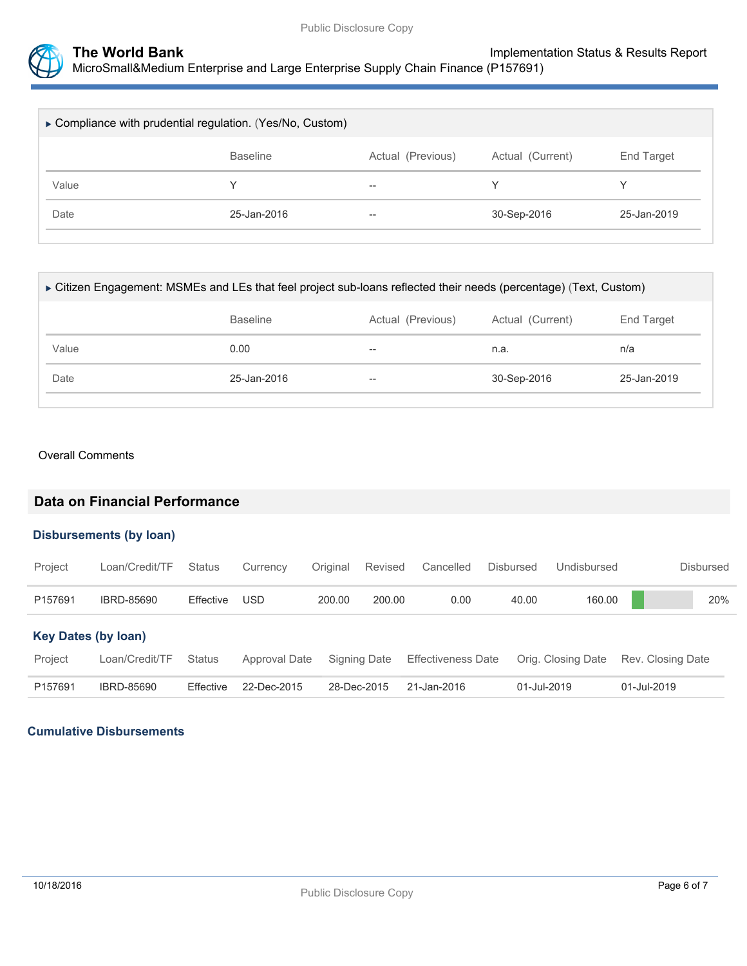

| ► Compliance with prudential regulation. (Yes/No, Custom) |                 |                          |                  |             |  |
|-----------------------------------------------------------|-----------------|--------------------------|------------------|-------------|--|
|                                                           | <b>Baseline</b> | Actual (Previous)        | Actual (Current) | End Target  |  |
| Value                                                     |                 | $\overline{\phantom{m}}$ | ∨                | v           |  |
| Date                                                      | 25-Jan-2016     | $\hspace{0.05cm}$        | 30-Sep-2016      | 25-Jan-2019 |  |

| ► Citizen Engagement: MSMEs and LEs that feel project sub-loans reflected their needs (percentage) (Text, Custom) |                   |                  |             |  |  |  |
|-------------------------------------------------------------------------------------------------------------------|-------------------|------------------|-------------|--|--|--|
| <b>Baseline</b>                                                                                                   | Actual (Previous) | Actual (Current) | End Target  |  |  |  |
| 0.00                                                                                                              | --                | n.a.             | n/a         |  |  |  |
| 25-Jan-2016                                                                                                       | $- -$             | 30-Sep-2016      | 25-Jan-2019 |  |  |  |
|                                                                                                                   |                   |                  |             |  |  |  |

#### Overall Comments

## **Data on Financial Performance**

#### **Disbursements (by loan)**

| Project                    | Loan/Credit/TF    | <b>Status</b> | Currency      | Original | Revised      | Cancelled                 | <b>Disbursed</b> | Undisbursed        | Disbursed         |  |
|----------------------------|-------------------|---------------|---------------|----------|--------------|---------------------------|------------------|--------------------|-------------------|--|
| P157691                    | IBRD-85690        | Effective     | USD           | 200.00   | 200.00       | 0.00                      | 40.00            | 160.00             | 20%               |  |
| <b>Key Dates (by loan)</b> |                   |               |               |          |              |                           |                  |                    |                   |  |
| Project                    | Loan/Credit/TF    | <b>Status</b> | Approval Date |          | Signing Date | <b>Effectiveness Date</b> |                  | Orig. Closing Date | Rev. Closing Date |  |
| P157691                    | <b>IBRD-85690</b> | Effective     | 22-Dec-2015   |          | 28-Dec-2015  | 21-Jan-2016               |                  | 01-Jul-2019        | 01-Jul-2019       |  |

#### **Cumulative Disbursements**